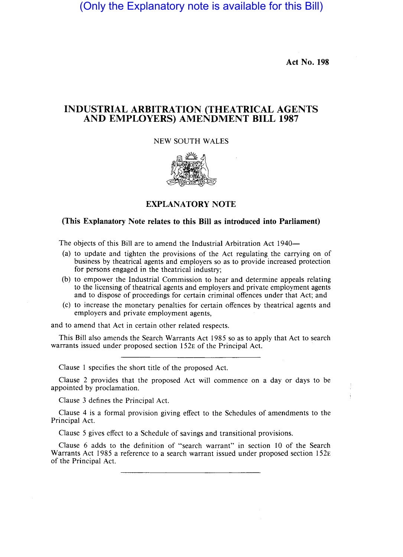Act No. 198

### INDUSTRIAL ARBITRATION (THEATRICAL AGENTS AND EMPLOYERS) AMENDMENT BILL 1987

### NEW SOUTH WALES



## EXPLANATORY NOTE

#### (This Explanatory Note relates to this Bill as introduced into Parliament)

The objects of this Bill are to amend the Industrial Arbitration Act 1940-

- (a) to update and tighten the provisions of the Act regulating the carrying on of business by theatrical agents and employers so as to provide increased protection for persons engaged in the theatrical industry;
- (b) to empower the Industrial Commission to hear and determine appeals relating to the licensing of theatrical agents and employers and private employment agents and to dispose of proceedings for certain criminal offences under that Act; and
- (c) to increase the monetary penalties for certain offences by theatrical agents and employers and private employment agents,

and to amend that Act in certain other related respects.

This Bill also amends the Search Warrants Act 1985 so as to apply that Act to search warrants issued under proposed section 152E of the Principal Act.

Clause 1 specifies the short title of the proposed Act.

Clause 2 provides that the proposed Act will commence on a day or days to be appointed by proclamation.

Clause 3 defines the Principal Act.

Clause 4 is a formal provision giving effect to the Schedules of amendments to the Principal Act.

Clause 5 gives effect to a Schedule of savings and transitional provisions.

Clause 6 adds to the definition of "search warrant" in section 10 of the Search Warrants Act 1985 a reference to a search warrant issued under proposed section 152E of the Principal Act.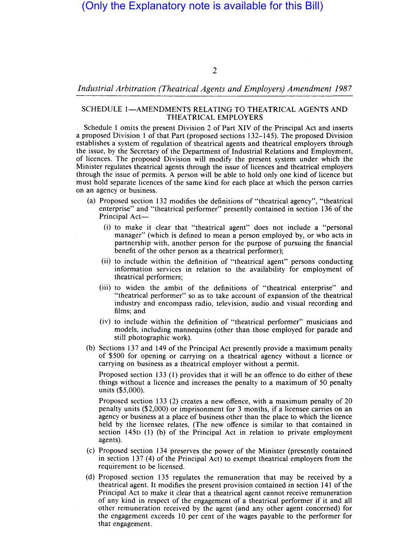### *Industrial Arbitration (Theatrical Agents and Employers) Amendment 1987*

### SCHEDULE 1-AMENDMENTS RELATING TO THEATRICAL AGENTS AND THEATRICAL EMPLOYERS

Schedule 1 omits the present Division 2 of Part XIV of the Principal Act and inserts a proposed Division 1 of that Part (proposed sections 132-145). The proposed Division establishes a system of regulation of theatrical agents and theatrical employers through the issue, by the Secretary of the Department of Industrial Relations and Employment, of licences. The proposed Division will modify the present system under which the Minister regulates theatrical agents through the issue of licences and theatrical employers through the issue of permits. A person will be able to hold only one kind of licence but must hold separate licences of the same kind for each place at which the person carries on an agency or business.

- (a) Proposed section 132 modifies the definitions of "theatrical agency", "theatrical enterprise" and "theatrical performer" presently contained in section 136 of the Principal Act-
	- (i) to make it clear that "theatrical agent" does not include a "personal manager" (which is defined to mean a person employed by, or who acts in partnership with, another person for the purpose of pursuing the financial benefit of the other person as a theatrical performer);
	- (ii) to include within the definition of "theatrical agent" persons conducting information services in relation to the availability for employment of theatrical performers;
	- (iii) to widen the ambit of the definitions of "theatrical enterprise" and "theatrical performer" so as to take account of expansion of the theatrical industry and encompass radio, television, audio and visual recording and films; and
	- (iv) to include within the definition of "theatrical performer" musicians and models, including mannequins (other than those employed for parade and still photographic work).
- (b) Sections 137 and 149 of the Principal Act presently provide a maximum penalty of \$500 for opening or carrying on a theatrical agency without a licence or carrying on business as a theatrical employer without a permit.

Proposed section 133 (1) provides that it will be an offence to do either of these things without a licence and increases the penalty to a maximum of 50 penalty units (\$5,000).

Proposed section 133 (2) creates a new offence, with a maximum penalty of 20 penalty units (\$2,000) or imprisonment for 3 months, if a licensee carries on an agency or business at a place of business other than the place to which the licence held by the licensee relates. (The new offence is similar to that contained in section 1450 (1) (b) of the Principal Act in relation to private employment agents).

- (c) Proposed section 134 preserves the power of the Minister (presently contained in section 137 (4) of the Principal Act) to exempt theatrical employers from the requirement to be licensed.
- (d) Proposed section 135 regulates the remuneration that may be received by a theatrical agent. It modifies the present provision contained in section 141 of the Principal Act to make it dear that a theatrical agent cannot receive remuneration of any kind in respect of the engagement of a theatrical performer if it and all other remuneration received by the agent (and any other agent concerned) for the engagement exceeds 10 per cent of the wages payable to the performer for that engagement.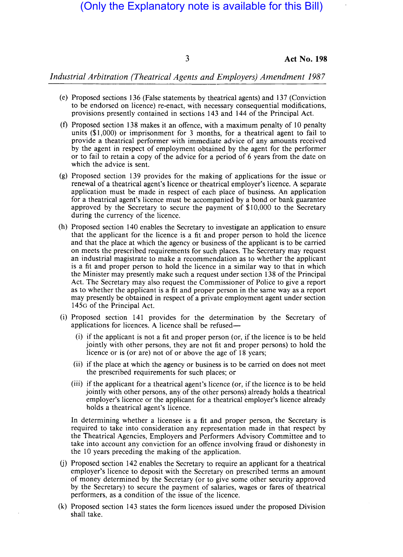3 **Act No. 198** 

*Industrial Arbitration (Theatrical Agents and Employers) Amendment 1987* 

- (e) Proposed sections 136 (False statements by theatrical agents) and 137 (Conviction to be endorsed on licence) re-enact, with necessary consequential modifications, provisions presently contained in sections 143 and 144 of the Principal Act.
- (f) Proposed section 138 makes it an offence, with a maximum penalty of 10 penalty units (\$1,000) or imprisonment for 3 months, for a theatrical agent to fail to provide a theatrical performer with immediate advice of any amounts received by the agent in respect of employment obtained by the agent for the performer or to fail to retain a copy of the advice for a period of 6 years from the date on which the advice is sent.
- (g) Proposed section 139 provides for the making of applications for the issue or renewal of a theatrical agent's licence or theatrical employer's licence. A separate application must be made in respect of each place of business. An application for a theatrical agent's licence must be accompanied by a bond or bank guarantee approved by the Secretary to secure the payment of \$10,000 to the Secretary during the currency of the licence.
- (h) Proposed section 140 enables the Secretary to investigate an application to ensure that the applicant for the licence is a fit and proper person to hold the licence and that the place at which the agency or business of the applicant is to be carried on meets the prescribed requirements for such places. The Secretary may request an industrial magistrate to make a recommendation as to whether the applicant is a fit and proper person to hold the licence in a similar way to that in which the Minister may presently make such a request under section 138 of the Principal Act. The Secretary may also request the Commissioner of Police to give a report as to whether the applicant is a fit and proper person in the same way as a report may presently be obtained in respect of a private employment agent under section 145G of the Principal Act.
- (i) Proposed section 141 provides for the determination by the Secretary of applications for licences. A licence shall be refused—
	- (i) if the applicant is not a fit and proper person (or, if the licence is to be held jointly with other persons, they are not fit and proper persons) to hold the licence or is (or are) not of or above the age of 18 years;
	- (ii) if the place at which the agency or business is to be carried on does not meet the prescribed requirements for such places; or
	- (iii) if the applicant for a theatrical agent's licence (or, if the licence is to be held jointly with other persons, any of the other persons) already holds a theatrical employer's licence or the applicant for a theatrical employer's licence already holds a theatrical agent's licence.

In determining whether a licensee is a fit and proper person, the Secretary is required to take into consideration any representation made in that respect by the Theatrical Agencies, Employers and Performers Advisory Committee and to take into account any conviction for an offence involving fraud or dishonesty in the 10 years preceding the making of the application.

- (j) Proposed section 142 enables the Secretary to require an applicant for a theatrical employer's licence to deposit with the Secretary on prescribed terms an amount of money determined by the Secretary (or to give some other security approved by the Secretary) to secure the payment of salaries, wages or fares of theatrical performers, as a condition of the issue of the licence.
- (k) Proposed section 143 states the form licences issued under the proposed Division shall take.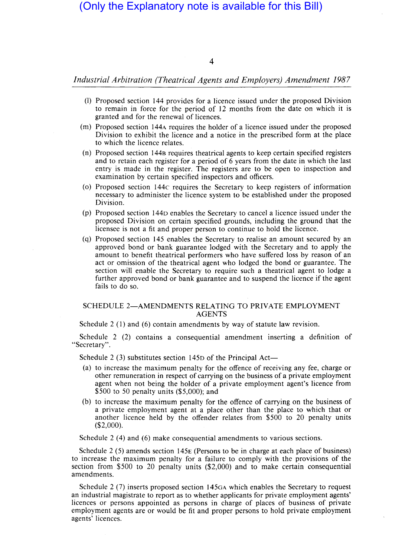4

### *Industrial Arbitration (Theatrical Agents and Employers) Amendment 1987*

- (I) Proposed section 144 provides for a licence issued under the proposed Division to remain in force for the period of 12 months from the date on which it is granted and for the renewal of licences.
- (m) Proposed section 144A requires the holder of a licence issued under the proposed Division to exhibit the licence and a notice in the prescribed form at the place to which the licence relates.
- (n) Proposed section 1448 requires theatrical agents to keep certain specified registers and to retain each register for a period of 6 years from the date in which the last entry is made in the register. The registers are to be open to inspection and examination by certain specified inspectors and officers.
- (0) Proposed section 144c requires the Secretary to keep registers of information necessary to administer the licence system to be established under the proposed Division.
- (p) Proposed section 144D enables the Secretary to cancel a licence issued under the proposed Division on certain specified grounds, including the ground that the licensee is not a fit and proper person to continue to hold the licence.
- (q) Proposed section 145 enables the Secretary to realise an amount secured by an approved bond or bank guarantee lodged with the Secretary and to apply the amount to benefit theatrical performers who have suffered loss by reason of an act or omission of the theatrical agent who lodged the bond or guarantee. The section will enable the Secretary to require such a theatrical agent to lodge a further approved bond or bank guarantee and to suspend the licence if the agent fails to do so.

#### SCHEDULE 2-AMENDMENTS RELATING TO PRIVATE EMPLOYMENT AGENTS

Schedule 2 (1) and (6) contain amendments by way of statute law revision.

Schedule 2 (2) contains a consequential amendment inserting a definition of "Secretary".

Schedule 2 (3) substitutes section  $145D$  of the Principal Act-

- (a) to increase the maximum penalty for the offence of receiving any fee, charge or other remuneration in respect of carrying on the business of a private employment agent when not being the holder of a private employment agent's licence from \$500 to 50 penalty units (\$5,000); and
- (b) to increase the maximum penalty for the offence of carrying on the business of a private employment agent at a place other than the place to which that or another licence held by the offender relates from \$500 to 20 penalty units (\$2,000).

Schedule 2 (4) and (6) make consequential amendments to various sections.

Schedule 2 (5) amends section 145E (Persons to be in charge at each place of business) to increase the maximum penalty for a failure to comply with the provisions of the section from \$500 to 20 penalty units (\$2,000) and to make certain consequential amendments.

Schedule 2 (7) inserts proposed section 145GA which enables the Secretary to request an industrial magistrate to report as to whether applicants for private employment agents' licences or persons appointed as persons in charge of places of business of private employment agents are or would be fit and proper persons to hold private employment agents' licences.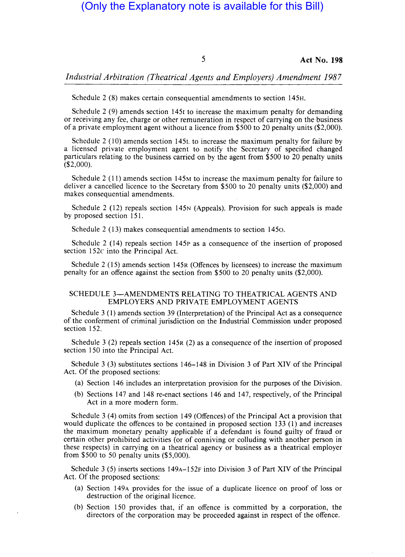5 **Act No. 198** 

*Industrial Arbitration (Theatrical Agents and Employers) Amendment 1987* 

Schedule 2 (8) makes certain consequential amendments to section 145H.

Schedule 2 (9) amends section 1451 to increase the maximum penalty for demanding or receiving any fee, charge or other remuneration in respect of carrying on the business of a private employment agent without a licence from \$500 to 20 penalty units (\$2,000).

Schedule 2 (10) amends section 145L to increase the maximum penalty for failure by a licensed private employment agent to notify the Secretary of specified changed particulars relating to the business carried on by the agent from \$500 to 20 penalty units (\$2,000).

Schedule 2 (11) amends section 145M to increase the maximum penalty for failure to deliver a cancelled licence to the Secretary from \$500 to 20 penalty units (\$2,000) and makes consequential amendments.

Schedule 2 (12) repeals section 145N (Appeals). Provision for such appeals is made by proposed section 151.

Schedule 2 (13) makes consequential amendments to section 1450.

Schedule 2 (14) repeals section 145P as a consequence of the insertion of proposed section 152c into the Principal Act.

Schedule 2 (15) amends section 145R (Offences by licensees) to increase the maximum penalty for an offence against the section from \$500 to 20 penalty units (\$2,000).

#### SCHEDULE 3-AMENDMENTS RELATING TO THEATRICAL AGENTS AND EMPLOYERS AND PRIVATE EMPLOYMENT AGENTS

Schedule 3 (I) amends section 39 (Interpretation) of the Principal Act as a consequence of the conferment of criminal jurisdiction on the Industrial Commission under proposed section 152.

Schedule 3 (2) repeals section 145R (2) as a consequence of the insertion of proposed section 150 into the Principal Act.

Schedule 3 (3) substitutes sections 146-148 in Division 3 of Part XIV of the Principal Act. Of the proposed sections:

- (a) Section 146 includes an interpretation provision for the purposes of the Division.
- (b) Sections 147 and 148 re-enact sections 146 and 147, respectively, of the Principal Act in a more modern form.

Schedule 3 (4) omits from section 149 (Offences) of the Principal Act a provision that would duplicate the offences to be contained in proposed section 133 (I) and increases the maximum monetary penalty applicable if a defendant is found guilty of fraud or certain other prohibited activities (or of conniving or colluding with another person in these respects) in carrying on a theatrical agency or business as a theatrical employer from \$500 to 50 penalty units (\$5,000).

Schedule 3 (5) inserts sections 149A-152F into Division 3 of Part XIV of the Principal Act. Of the proposed sections:

- (a) Section 149A provides for the issue of a duplicate licence on proof of loss or destruction of the original licence.
- (b) Section 150 provides that, if an offence is committed by a corporation, the directors of the corporation may be proceeded against in respect of the offence.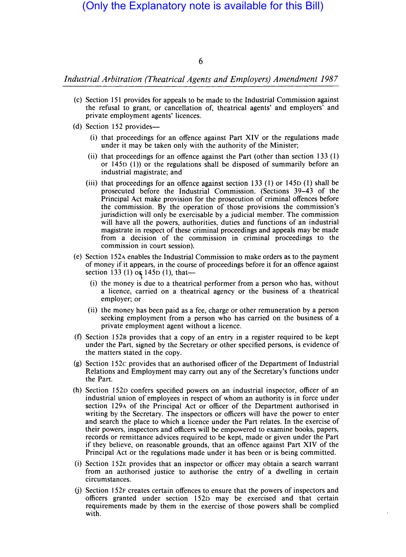6

*Industrial Arbitration (Theatrical Agents and Employers) Amendment 1987* 

- (c) Section 151 provides for appeals to be made to the Industrial Commission against the refusal to grant, or cancellation of, theatrical agents' and employers' and private employment agents' licences.
- (d) Section 152 provides-
	- (i) that proceedings for an offence against Part XIV or the regulations made under it may be taken only with the authority of the Minister;
	- (ii) that proceedings for an offence against the Part (other than section 133  $(1)$ ) or 1450 (I)) or the regulations shall be disposed of summarily before an industrial magistrate; and
	- (iii) that proceedings for an offence against section 133 (1) or  $145D(1)$  shall be prosecuted before the Industrial Commission. (Sections 39-43 of the Principal Act make provision for the prosecution of criminal offences before the commission. By the operation of those provisions the commission's jurisdiction will only be exercisable by a judicial member. The commission will have all the powers, authorities, duties and functions of an industrial magistrate in respect of these criminal proceedings and appeals may be made from a decision of the commission in criminal proceedings to the commission in court session).
- (e) Section 152A enables the Industrial Commission to make orders as to the payment of money if it appears, in the course of proceedings before it for an offence against section 133 (1) or  $145D(1)$ , that--
	- (i) the money is due to a theatrical performer from a person who has, without a licence, carried on a theatrical agency or the business of a theatrical employer; or
	- (ii) the money has been paid as a fee, charge or other remuneration by a person seeking employment from a person who has carried on the business of a private employment agent without a licence.
- (f) Section 152B provides that a copy of an entry in a register required to be kept under the Part, signed by the Secretary or other specified persons, is evidence of the matters stated in the copy.
- (g) Section 152e provides that an authorised officer of the Department of Industrial Relations and Employment may carry out any of the Secretary's functions under the Part.
- (h) Section 1520 confers specified powers on an industrial inspector, officer of an industrial union of employees in respect of whom an authority is in force under section 129A of the Principal Act or officer of the Department authorised in writing by the Secretary. The inspectors or officers will have the power to enter and search the place to which a licence under the Part relates. **In** the exercise of their powers, inspectors and officers will be empowered to examine books, papers, records or remittance advices required to be kept, made or given under the Part if they believe, on reasonable grounds, that an offence against Part XIV of the Principal Act or the regulations made under it has been or is being committed.
- (i) Section 152E provides that an inspector or officer may obtain a search warrant from an authorised justice to authorise the entry of a dwelling in certain circumstances.
- (j) Section 152F creates certain offences to ensure that the powers of inspectors and officers granted under section 1520 may be exercised and that certain requirements made by them in the exercise of those powers shall be complied with.